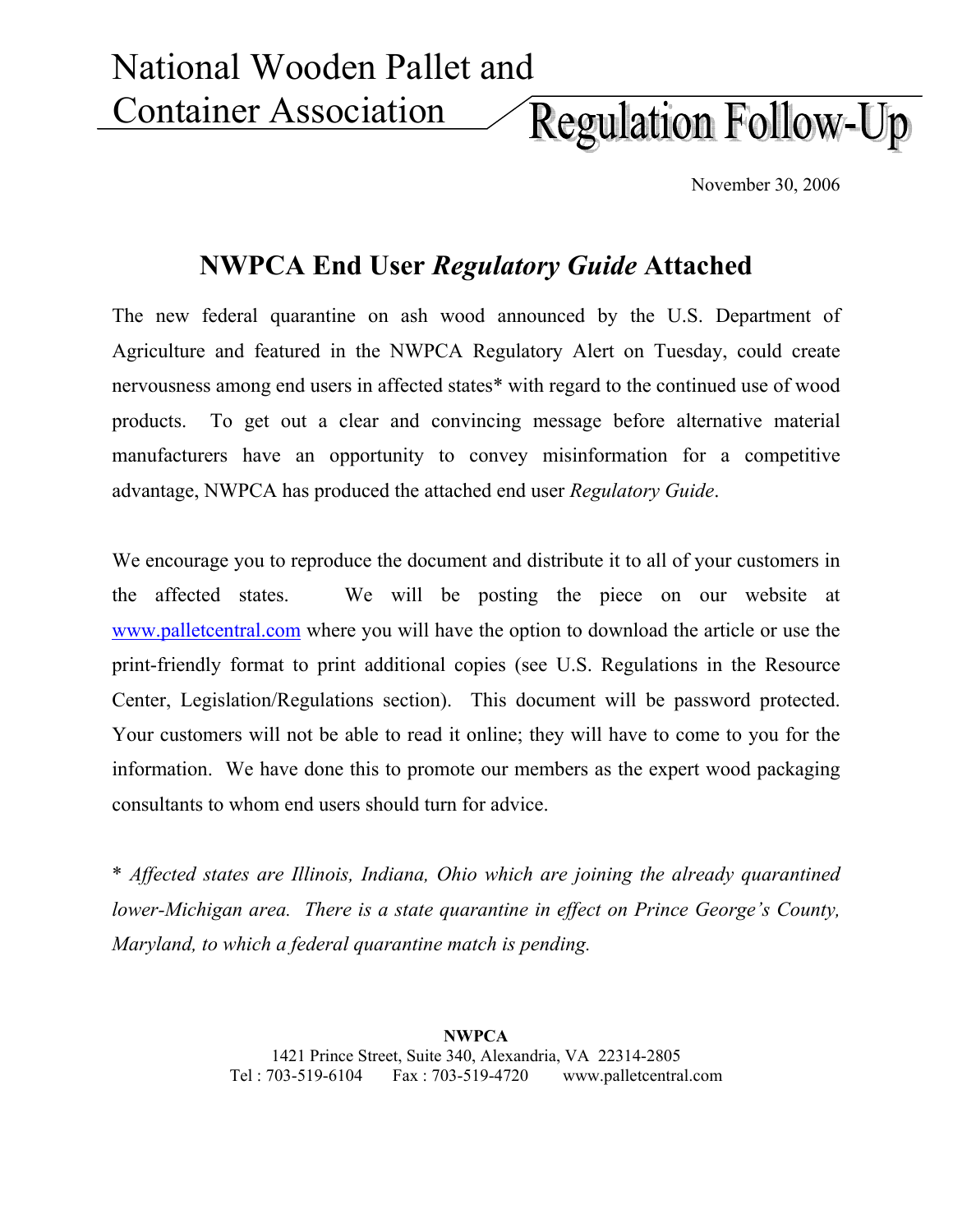National Wooden Pallet and Container Association **Regulation Follow-Up** 

November 30, 2006

## **NWPCA End User** *Regulatory Guide* **Attached**

The new federal quarantine on ash wood announced by the U.S. Department of Agriculture and featured in the NWPCA Regulatory Alert on Tuesday, could create nervousness among end users in affected states\* with regard to the continued use of wood products. To get out a clear and convincing message before alternative material manufacturers have an opportunity to convey misinformation for a competitive advantage, NWPCA has produced the attached end user *Regulatory Guide*.

We encourage you to reproduce the document and distribute it to all of your customers in the affected states. We will be posting the piece on our website at www.palletcentral.com where you will have the option to download the article or use the print-friendly format to print additional copies (see U.S. Regulations in the Resource Center, Legislation/Regulations section). This document will be password protected. Your customers will not be able to read it online; they will have to come to you for the information. We have done this to promote our members as the expert wood packaging consultants to whom end users should turn for advice.

\* *Affected states are Illinois, Indiana, Ohio which are joining the already quarantined lower-Michigan area. There is a state quarantine in effect on Prince George's County, Maryland, to which a federal quarantine match is pending.* 

> **NWPCA**  1421 Prince Street, Suite 340, Alexandria, VA 22314-2805 Tel : 703-519-6104 Fax : 703-519-4720 www.palletcentral.com